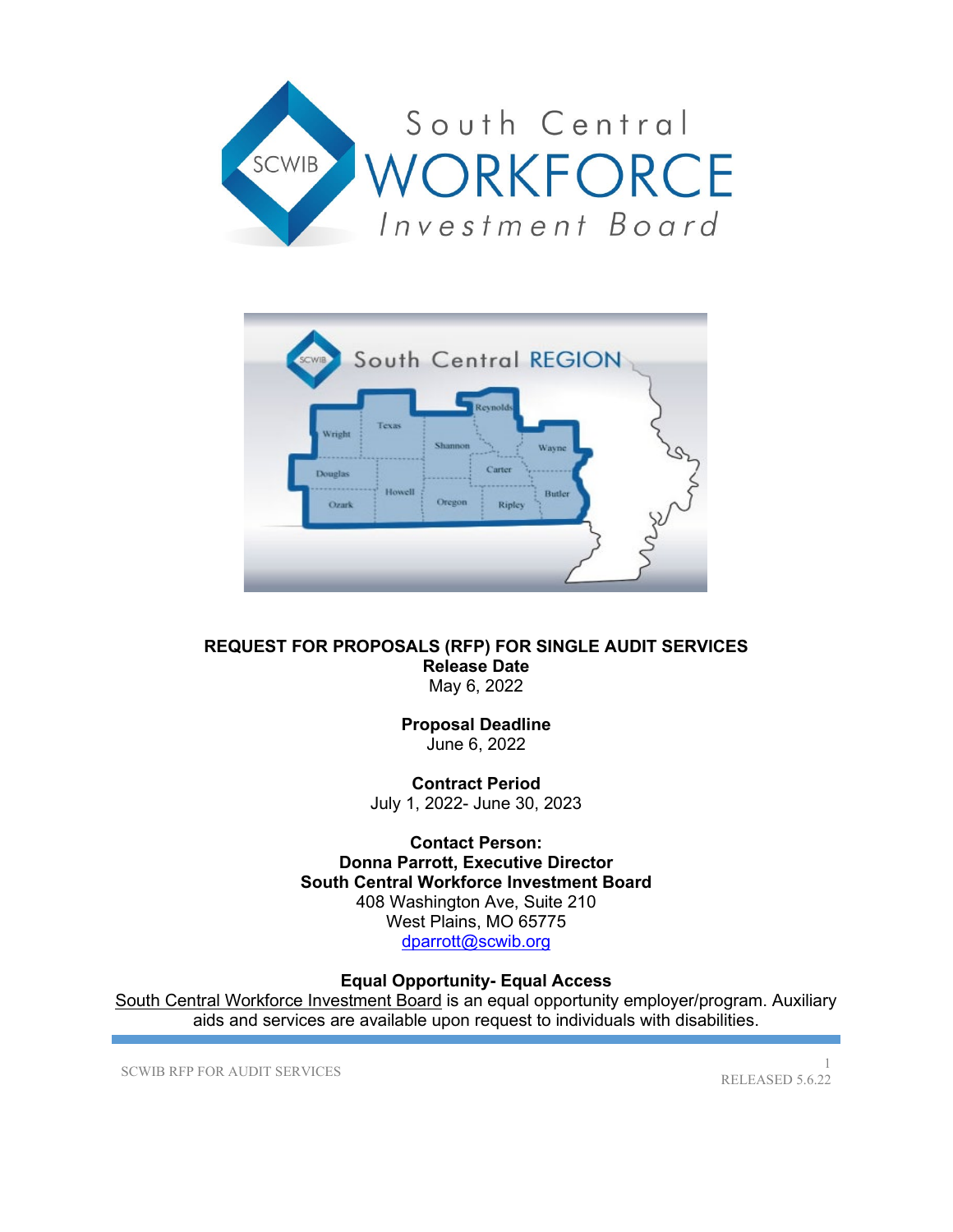



#### **REQUEST FOR PROPOSALS (RFP) FOR SINGLE AUDIT SERVICES Release Date** May 6, 2022

**Proposal Deadline** June 6, 2022

**Contract Period** July 1, 2022- June 30, 2023

**Contact Person: Donna Parrott, Executive Director South Central Workforce Investment Board** 408 Washington Ave, Suite 210 West Plains, MO 65775 [dparrott@scwib.org](mailto:dparrott@scwib.org)

# **Equal Opportunity- Equal Access**

South Central Workforce Investment Board is an equal opportunity employer/program. Auxiliary aids and services are available upon request to individuals with disabilities.

SCWIB RFP FOR AUDIT SERVICES

RELEASED 5.6.22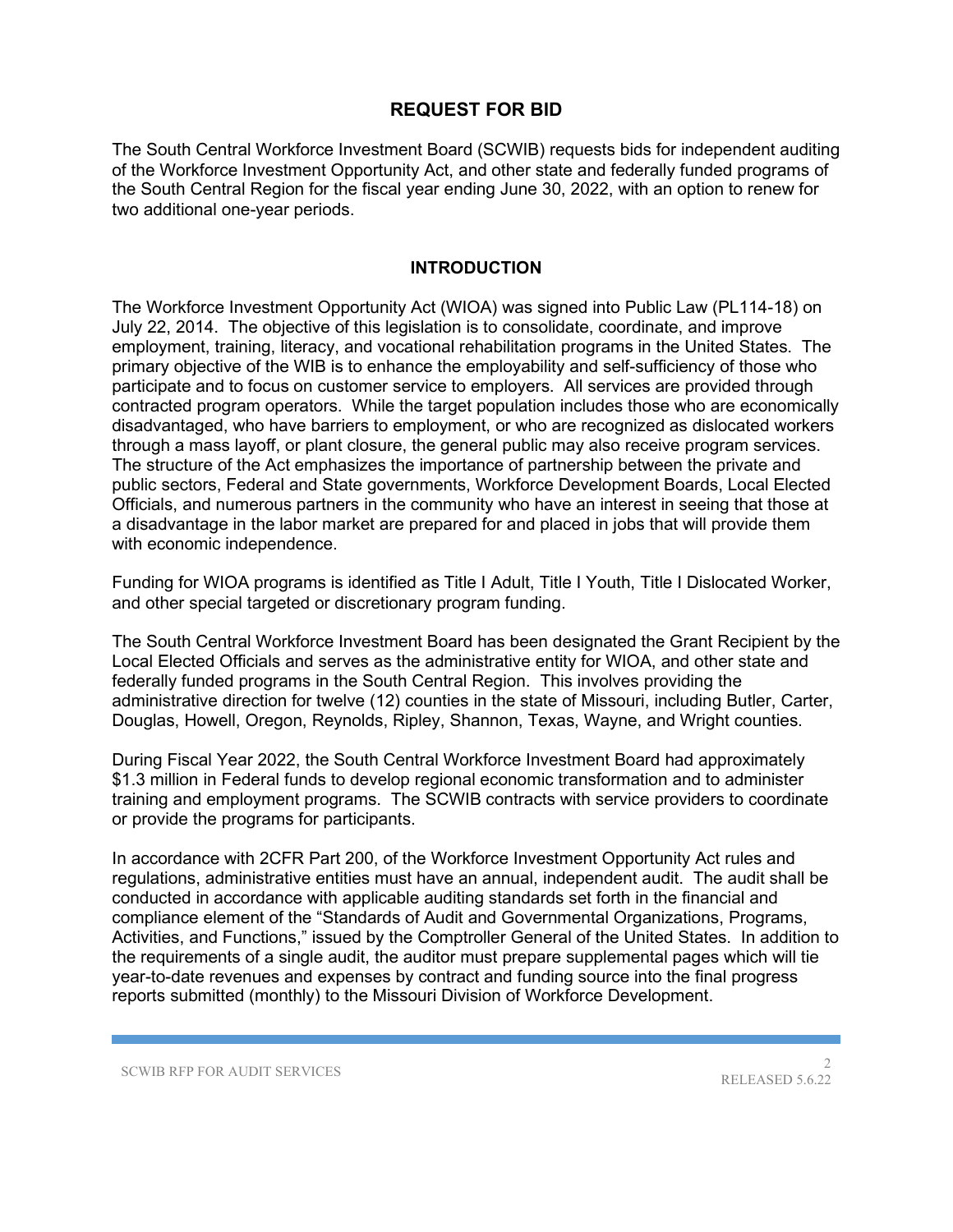# **REQUEST FOR BID**

The South Central Workforce Investment Board (SCWIB) requests bids for independent auditing of the Workforce Investment Opportunity Act, and other state and federally funded programs of the South Central Region for the fiscal year ending June 30, 2022, with an option to renew for two additional one-year periods.

#### **INTRODUCTION**

The Workforce Investment Opportunity Act (WIOA) was signed into Public Law (PL114-18) on July 22, 2014. The objective of this legislation is to consolidate, coordinate, and improve employment, training, literacy, and vocational rehabilitation programs in the United States. The primary objective of the WIB is to enhance the employability and self-sufficiency of those who participate and to focus on customer service to employers. All services are provided through contracted program operators. While the target population includes those who are economically disadvantaged, who have barriers to employment, or who are recognized as dislocated workers through a mass layoff, or plant closure, the general public may also receive program services. The structure of the Act emphasizes the importance of partnership between the private and public sectors, Federal and State governments, Workforce Development Boards, Local Elected Officials, and numerous partners in the community who have an interest in seeing that those at a disadvantage in the labor market are prepared for and placed in jobs that will provide them with economic independence.

Funding for WIOA programs is identified as Title I Adult, Title I Youth, Title I Dislocated Worker, and other special targeted or discretionary program funding.

The South Central Workforce Investment Board has been designated the Grant Recipient by the Local Elected Officials and serves as the administrative entity for WIOA, and other state and federally funded programs in the South Central Region. This involves providing the administrative direction for twelve (12) counties in the state of Missouri, including Butler, Carter, Douglas, Howell, Oregon, Reynolds, Ripley, Shannon, Texas, Wayne, and Wright counties.

During Fiscal Year 2022, the South Central Workforce Investment Board had approximately \$1.3 million in Federal funds to develop regional economic transformation and to administer training and employment programs. The SCWIB contracts with service providers to coordinate or provide the programs for participants.

In accordance with 2CFR Part 200, of the Workforce Investment Opportunity Act rules and regulations, administrative entities must have an annual, independent audit. The audit shall be conducted in accordance with applicable auditing standards set forth in the financial and compliance element of the "Standards of Audit and Governmental Organizations, Programs, Activities, and Functions," issued by the Comptroller General of the United States. In addition to the requirements of a single audit, the auditor must prepare supplemental pages which will tie year-to-date revenues and expenses by contract and funding source into the final progress reports submitted (monthly) to the Missouri Division of Workforce Development.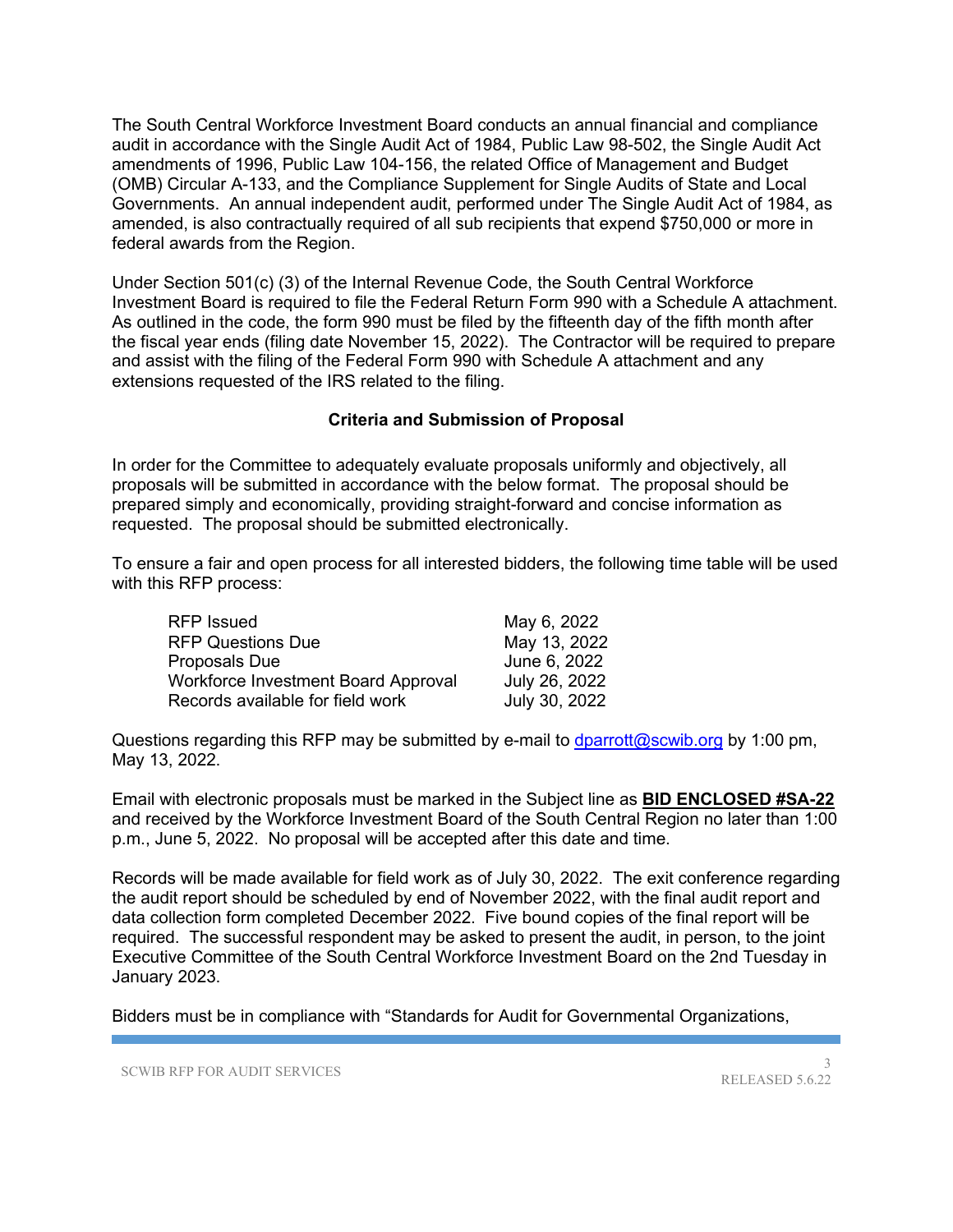The South Central Workforce Investment Board conducts an annual financial and compliance audit in accordance with the Single Audit Act of 1984, Public Law 98-502, the Single Audit Act amendments of 1996, Public Law 104-156, the related Office of Management and Budget (OMB) Circular A-133, and the Compliance Supplement for Single Audits of State and Local Governments. An annual independent audit, performed under The Single Audit Act of 1984, as amended, is also contractually required of all sub recipients that expend \$750,000 or more in federal awards from the Region.

Under Section 501(c) (3) of the Internal Revenue Code, the South Central Workforce Investment Board is required to file the Federal Return Form 990 with a Schedule A attachment. As outlined in the code, the form 990 must be filed by the fifteenth day of the fifth month after the fiscal year ends (filing date November 15, 2022). The Contractor will be required to prepare and assist with the filing of the Federal Form 990 with Schedule A attachment and any extensions requested of the IRS related to the filing.

#### **Criteria and Submission of Proposal**

In order for the Committee to adequately evaluate proposals uniformly and objectively, all proposals will be submitted in accordance with the below format. The proposal should be prepared simply and economically, providing straight-forward and concise information as requested. The proposal should be submitted electronically.

To ensure a fair and open process for all interested bidders, the following time table will be used with this RFP process:

| <b>RFP Issued</b>                          | May 6, 2022   |
|--------------------------------------------|---------------|
| <b>RFP Questions Due</b>                   | May 13, 2022  |
| Proposals Due                              | June 6, 2022  |
| <b>Workforce Investment Board Approval</b> | July 26, 2022 |
| Records available for field work           | July 30, 2022 |

Questions regarding this RFP may be submitted by e-mail to [dparrott@scwib.org](mailto:dparrott@scwib.org) by 1:00 pm, May 13, 2022.

Email with electronic proposals must be marked in the Subject line as **BID ENCLOSED #SA-22** and received by the Workforce Investment Board of the South Central Region no later than 1:00 p.m., June 5, 2022. No proposal will be accepted after this date and time.

Records will be made available for field work as of July 30, 2022. The exit conference regarding the audit report should be scheduled by end of November 2022, with the final audit report and data collection form completed December 2022. Five bound copies of the final report will be required. The successful respondent may be asked to present the audit, in person, to the joint Executive Committee of the South Central Workforce Investment Board on the 2nd Tuesday in January 2023.

Bidders must be in compliance with "Standards for Audit for Governmental Organizations,

SCWIB RFP FOR AUDIT SERVICES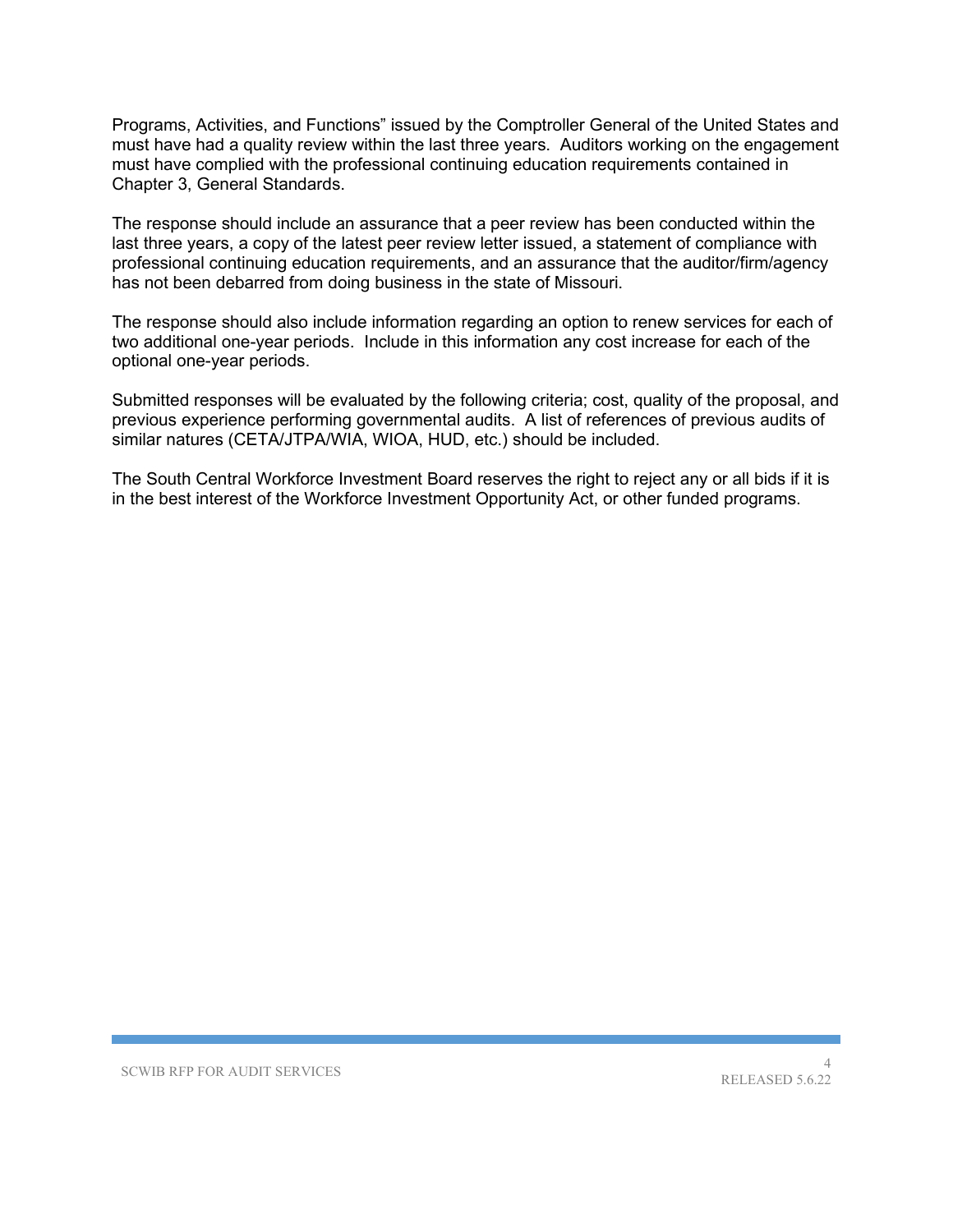Programs, Activities, and Functions" issued by the Comptroller General of the United States and must have had a quality review within the last three years. Auditors working on the engagement must have complied with the professional continuing education requirements contained in Chapter 3, General Standards.

The response should include an assurance that a peer review has been conducted within the last three years, a copy of the latest peer review letter issued, a statement of compliance with professional continuing education requirements, and an assurance that the auditor/firm/agency has not been debarred from doing business in the state of Missouri.

The response should also include information regarding an option to renew services for each of two additional one-year periods. Include in this information any cost increase for each of the optional one-year periods.

Submitted responses will be evaluated by the following criteria; cost, quality of the proposal, and previous experience performing governmental audits. A list of references of previous audits of similar natures (CETA/JTPA/WIA, WIOA, HUD, etc.) should be included.

The South Central Workforce Investment Board reserves the right to reject any or all bids if it is in the best interest of the Workforce Investment Opportunity Act, or other funded programs.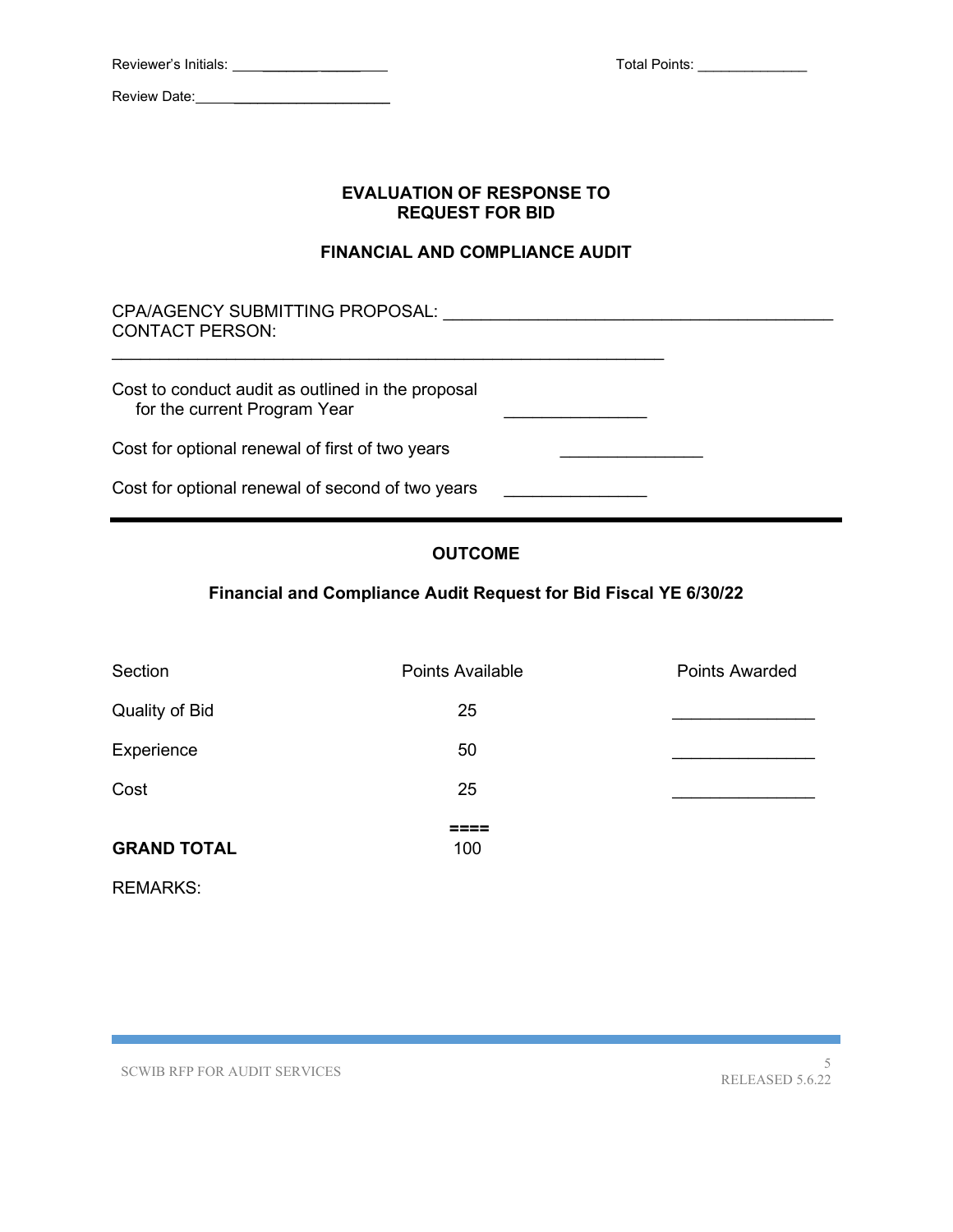Review Date:

Total Points: \_\_\_\_\_\_\_\_\_\_\_\_\_\_\_

### **EVALUATION OF RESPONSE TO REQUEST FOR BID**

### **FINANCIAL AND COMPLIANCE AUDIT**

CPA/AGENCY SUBMITTING PROPOSAL: \_\_\_\_\_\_\_\_\_\_\_\_\_\_\_\_\_\_\_\_\_\_\_\_\_\_\_\_\_\_\_\_\_\_\_\_\_\_\_\_\_ CONTACT PERSON: Cost to conduct audit as outlined in the proposal for the current Program Year Cost for optional renewal of first of two years \_\_\_\_\_\_\_\_\_\_\_\_\_\_\_\_\_\_\_\_\_\_\_\_\_\_\_\_\_\_\_\_ Cost for optional renewal of second of two years \_\_\_\_\_\_\_\_\_\_\_\_\_\_\_\_\_\_\_\_\_\_\_\_\_\_\_\_\_\_\_

# **OUTCOME**

# **Financial and Compliance Audit Request for Bid Fiscal YE 6/30/22**

| <b>Points Awarded</b> |
|-----------------------|
|                       |
|                       |
|                       |
|                       |
|                       |

REMARKS: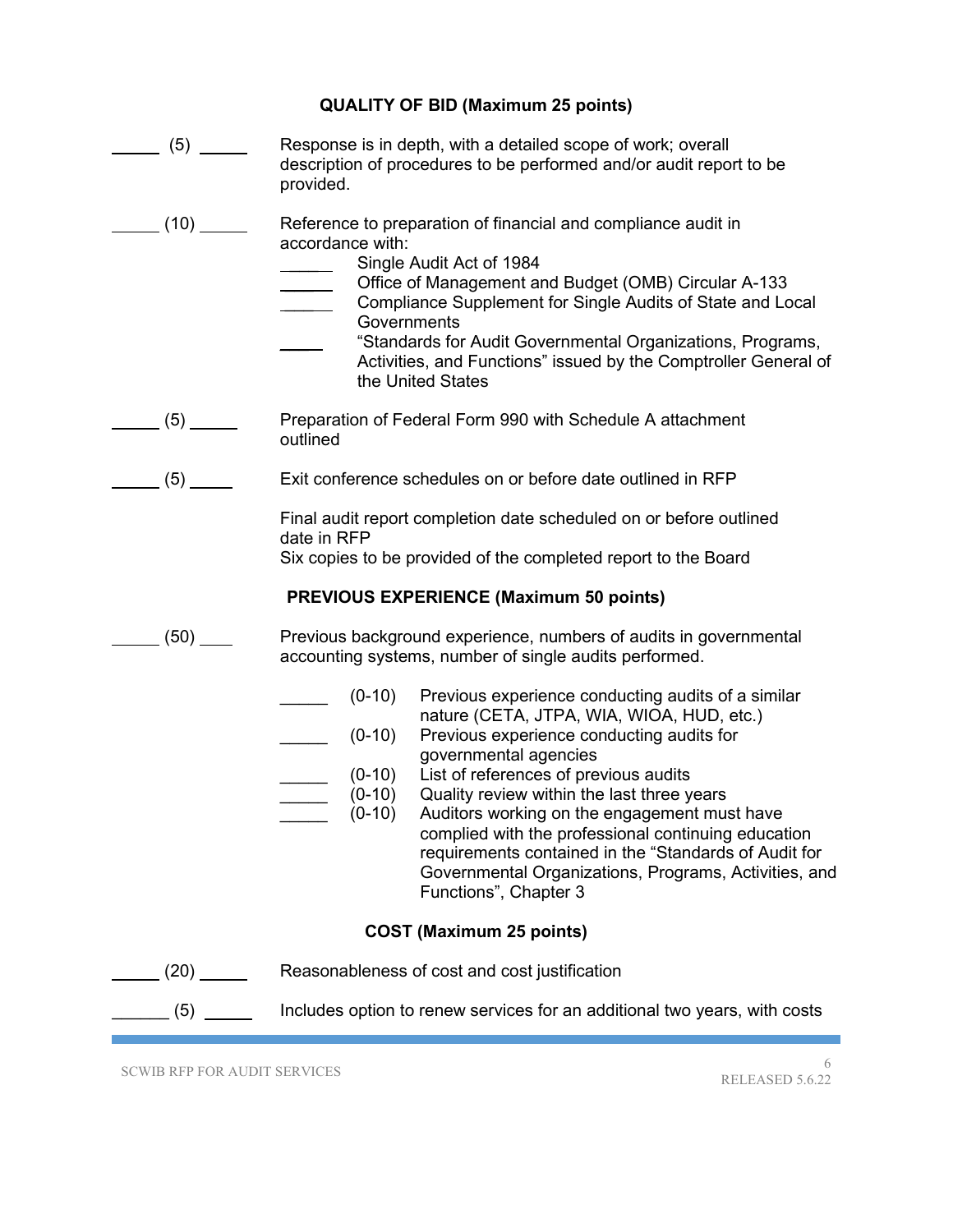| <b>QUALITY OF BID (Maximum 25 points)</b> |  |  |
|-------------------------------------------|--|--|
|-------------------------------------------|--|--|

| $\frac{1}{\sqrt{5}}$ (5)                        | Response is in depth, with a detailed scope of work; overall<br>description of procedures to be performed and/or audit report to be<br>provided.                                                                                                                                                                                                                                                                                                                                                                                                                      |  |
|-------------------------------------------------|-----------------------------------------------------------------------------------------------------------------------------------------------------------------------------------------------------------------------------------------------------------------------------------------------------------------------------------------------------------------------------------------------------------------------------------------------------------------------------------------------------------------------------------------------------------------------|--|
| $\frac{1}{\sqrt{1-\frac{1}{2}}}\left(10\right)$ | Reference to preparation of financial and compliance audit in<br>accordance with:<br>Single Audit Act of 1984<br>Office of Management and Budget (OMB) Circular A-133<br>Compliance Supplement for Single Audits of State and Local<br>Governments<br>"Standards for Audit Governmental Organizations, Programs,<br>Activities, and Functions" issued by the Comptroller General of<br>the United States                                                                                                                                                              |  |
| $\frac{1}{\sqrt{5}}$ (5)                        | Preparation of Federal Form 990 with Schedule A attachment<br>outlined                                                                                                                                                                                                                                                                                                                                                                                                                                                                                                |  |
| $\frac{1}{\sqrt{5}}$ (5)                        | Exit conference schedules on or before date outlined in RFP                                                                                                                                                                                                                                                                                                                                                                                                                                                                                                           |  |
|                                                 | Final audit report completion date scheduled on or before outlined<br>date in RFP<br>Six copies to be provided of the completed report to the Board                                                                                                                                                                                                                                                                                                                                                                                                                   |  |
|                                                 | <b>PREVIOUS EXPERIENCE (Maximum 50 points)</b>                                                                                                                                                                                                                                                                                                                                                                                                                                                                                                                        |  |
| $(50)$ $-$                                      | Previous background experience, numbers of audits in governmental<br>accounting systems, number of single audits performed.                                                                                                                                                                                                                                                                                                                                                                                                                                           |  |
|                                                 | Previous experience conducting audits of a similar<br>$(0-10)$<br>nature (CETA, JTPA, WIA, WIOA, HUD, etc.)<br>Previous experience conducting audits for<br>$(0-10)$<br>governmental agencies<br>(0-10) List of references of previous audits<br>$(0-10)$<br>Quality review within the last three years<br>$(0-10)$<br>Auditors working on the engagement must have<br>complied with the professional continuing education<br>requirements contained in the "Standards of Audit for<br>Governmental Organizations, Programs, Activities, and<br>Functions", Chapter 3 |  |
| <b>COST (Maximum 25 points)</b>                 |                                                                                                                                                                                                                                                                                                                                                                                                                                                                                                                                                                       |  |
| (20)                                            | Reasonableness of cost and cost justification                                                                                                                                                                                                                                                                                                                                                                                                                                                                                                                         |  |
| $\frac{1}{\sqrt{5}}$ (5)                        | Includes option to renew services for an additional two years, with costs                                                                                                                                                                                                                                                                                                                                                                                                                                                                                             |  |